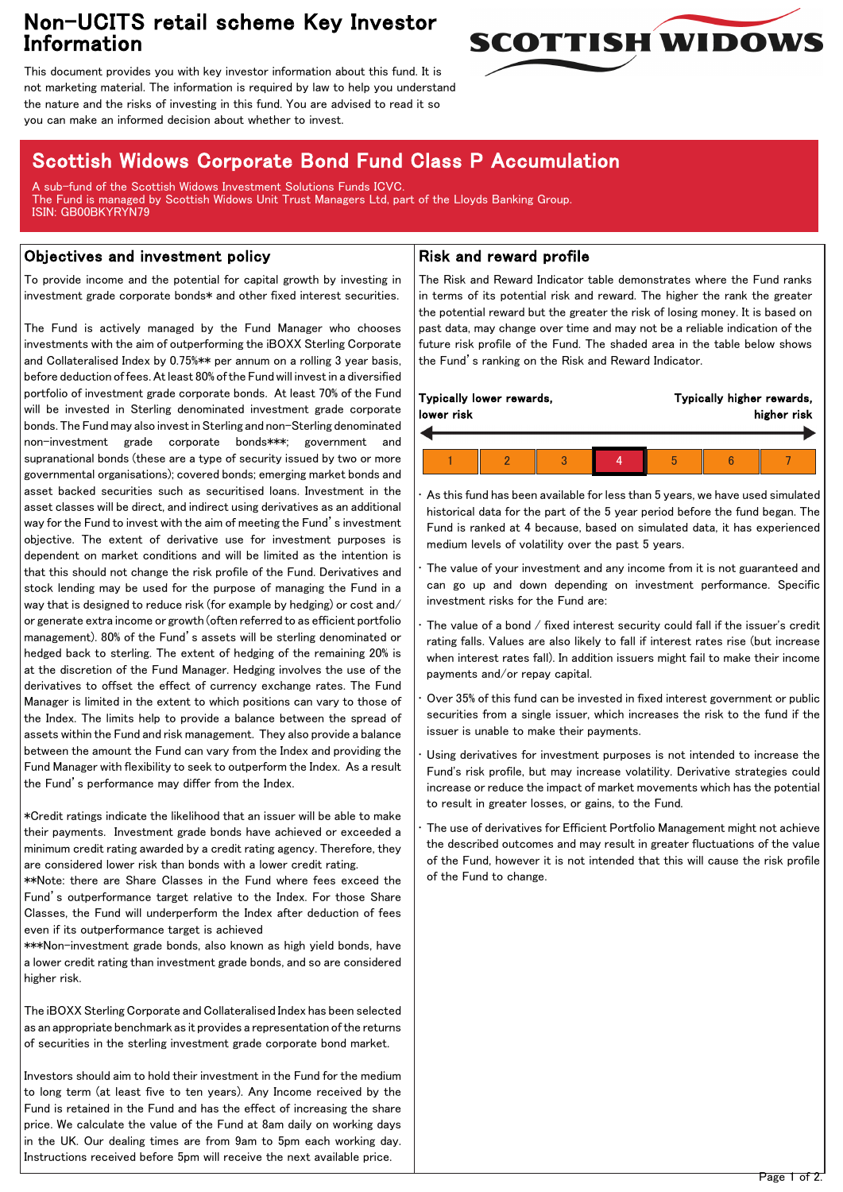## Non-UCITS retail scheme Key Investor Information



This document provides you with key investor information about this fund. It is not marketing material. The information is required by law to help you understand the nature and the risks of investing in this fund. You are advised to read it so you can make an informed decision about whether to invest.

# Scottish Widows Corporate Bond Fund Class P Accumulation

A sub-fund of the Scottish Widows Investment Solutions Funds ICVC. The Fund is managed by Scottish Widows Unit Trust Managers Ltd, part of the Lloyds Banking Group. ISIN: GB00BKYRYN79

## Objectives and investment policy

To provide income and the potential for capital growth by investing in investment grade corporate bonds\* and other fixed interest securities.

The Fund is actively managed by the Fund Manager who chooses investments with the aim of outperforming the iBOXX Sterling Corporate and Collateralised Index by 0.75%\*\* per annum on a rolling 3 year basis, before deduction of fees. At least 80% of the Fund will invest in a diversified portfolio of investment grade corporate bonds. At least 70% of the Fund will be invested in Sterling denominated investment grade corporate bonds. The Fund may also invest in Sterling and non-Sterling denominated non-investment grade corporate bonds\*\*\*; government and supranational bonds (these are a type of security issued by two or more governmental organisations); covered bonds; emerging market bonds and asset backed securities such as securitised loans. Investment in the asset classes will be direct, and indirect using derivatives as an additional way for the Fund to invest with the aim of meeting the Fund's investment objective. The extent of derivative use for investment purposes is dependent on market conditions and will be limited as the intention is that this should not change the risk profile of the Fund. Derivatives and stock lending may be used for the purpose of managing the Fund in a way that is designed to reduce risk (for example by hedging) or cost and/ or generate extra income or growth (often referred to as efficient portfolio management). 80% of the Fund's assets will be sterling denominated or hedged back to sterling. The extent of hedging of the remaining 20% is at the discretion of the Fund Manager. Hedging involves the use of the derivatives to offset the effect of currency exchange rates. The Fund Manager is limited in the extent to which positions can vary to those of the Index. The limits help to provide a balance between the spread of assets within the Fund and risk management. They also provide a balance between the amount the Fund can vary from the Index and providing the Fund Manager with flexibility to seek to outperform the Index. As a result the Fund's performance may differ from the Index.

\*Credit ratings indicate the likelihood that an issuer will be able to make their payments. Investment grade bonds have achieved or exceeded a minimum credit rating awarded by a credit rating agency. Therefore, they are considered lower risk than bonds with a lower credit rating.

\*\*Note: there are Share Classes in the Fund where fees exceed the Fund's outperformance target relative to the Index. For those Share Classes, the Fund will underperform the Index after deduction of fees even if its outperformance target is achieved

\*\*\*Non-investment grade bonds, also known as high yield bonds, have a lower credit rating than investment grade bonds, and so are considered higher risk.

The iBOXX Sterling Corporate and Collateralised Index has been selected as an appropriate benchmark as it provides a representation of the returns of securities in the sterling investment grade corporate bond market.

Investors should aim to hold their investment in the Fund for the medium to long term (at least five to ten years). Any Income received by the Fund is retained in the Fund and has the effect of increasing the share price. We calculate the value of the Fund at 8am daily on working days in the UK. Our dealing times are from 9am to 5pm each working day. Instructions received before 5pm will receive the next available price.

## Risk and reward profile

The Risk and Reward Indicator table demonstrates where the Fund ranks in terms of its potential risk and reward. The higher the rank the greater the potential reward but the greater the risk of losing money. It is based on past data, may change over time and may not be a reliable indication of the future risk profile of the Fund. The shaded area in the table below shows the Fund's ranking on the Risk and Reward Indicator.

| Typically lower rewards, |  |  |  | Typically higher rewards, |  |  |
|--------------------------|--|--|--|---------------------------|--|--|
| lower risk               |  |  |  | higher risk               |  |  |
|                          |  |  |  |                           |  |  |

• As this fund has been available for less than 5 years, we have used simulated historical data for the part of the 5 year period before the fund began. The Fund is ranked at 4 because, based on simulated data, it has experienced medium levels of volatility over the past 5 years.

The value of your investment and any income from it is not guaranteed and can go up and down depending on investment performance. Specific investment risks for the Fund are:

- The value of a bond / fixed interest security could fall if the issuer's credit rating falls. Values are also likely to fall if interest rates rise (but increase when interest rates fall). In addition issuers might fail to make their income payments and/or repay capital.
- Over 35% of this fund can be invested in fixed interest government or public securities from a single issuer, which increases the risk to the fund if the issuer is unable to make their payments.

Using derivatives for investment purposes is not intended to increase the Fund's risk profile, but may increase volatility. Derivative strategies could increase or reduce the impact of market movements which has the potential to result in greater losses, or gains, to the Fund.

The use of derivatives for Efficient Portfolio Management might not achieve the described outcomes and may result in greater fluctuations of the value of the Fund, however it is not intended that this will cause the risk profile of the Fund to change.